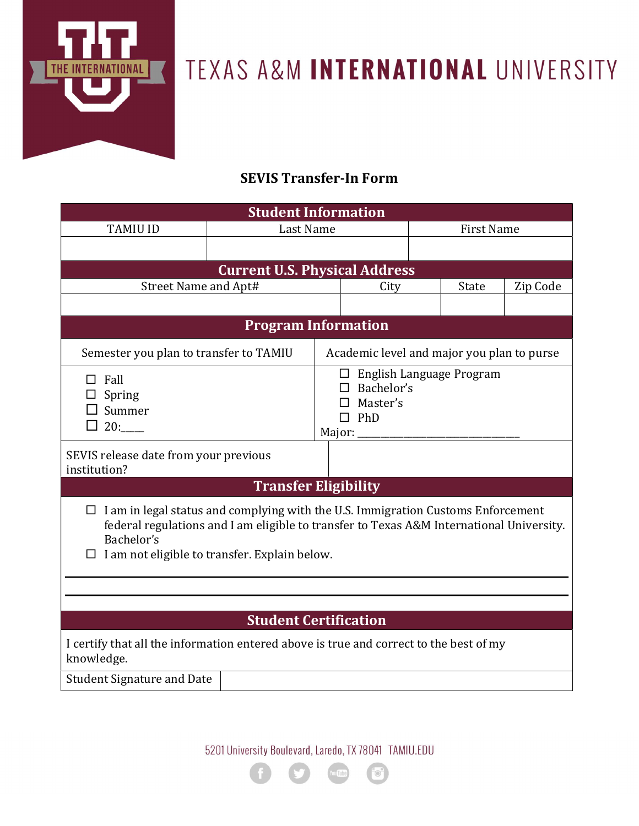

## TEXAS A&M INTERNATIONAL UNIVERSITY

## SEVIS Transfer-In Form

| <b>TAMIU ID</b><br>Last Name<br><b>First Name</b><br><b>Current U.S. Physical Address</b><br>Street Name and Apt#<br>Zip Code<br>State<br>City<br><b>Program Information</b><br>Semester you plan to transfer to TAMIU<br>Academic level and major you plan to purse<br>$\Box$ English Language Program<br>$\Box$ Fall<br>$\Box$ Bachelor's<br>Spring<br>$\Box$ Master's<br>$\Box$ Summer<br>$\Box$ PhD<br>$\Box$ 20:<br>Major: _<br>SEVIS release date from your previous<br>institution?<br><b>Transfer Eligibility</b><br>$\Box$ I am in legal status and complying with the U.S. Immigration Customs Enforcement<br>federal regulations and I am eligible to transfer to Texas A&M International University.<br>Bachelor's<br>I am not eligible to transfer. Explain below.<br><b>Student Certification</b><br>I certify that all the information entered above is true and correct to the best of my<br>knowledge.<br><b>Student Signature and Date</b> | <b>Student Information</b> |  |  |  |  |  |  |  |  |  |
|--------------------------------------------------------------------------------------------------------------------------------------------------------------------------------------------------------------------------------------------------------------------------------------------------------------------------------------------------------------------------------------------------------------------------------------------------------------------------------------------------------------------------------------------------------------------------------------------------------------------------------------------------------------------------------------------------------------------------------------------------------------------------------------------------------------------------------------------------------------------------------------------------------------------------------------------------------------|----------------------------|--|--|--|--|--|--|--|--|--|
|                                                                                                                                                                                                                                                                                                                                                                                                                                                                                                                                                                                                                                                                                                                                                                                                                                                                                                                                                              |                            |  |  |  |  |  |  |  |  |  |
|                                                                                                                                                                                                                                                                                                                                                                                                                                                                                                                                                                                                                                                                                                                                                                                                                                                                                                                                                              |                            |  |  |  |  |  |  |  |  |  |
|                                                                                                                                                                                                                                                                                                                                                                                                                                                                                                                                                                                                                                                                                                                                                                                                                                                                                                                                                              |                            |  |  |  |  |  |  |  |  |  |
|                                                                                                                                                                                                                                                                                                                                                                                                                                                                                                                                                                                                                                                                                                                                                                                                                                                                                                                                                              |                            |  |  |  |  |  |  |  |  |  |
|                                                                                                                                                                                                                                                                                                                                                                                                                                                                                                                                                                                                                                                                                                                                                                                                                                                                                                                                                              |                            |  |  |  |  |  |  |  |  |  |
|                                                                                                                                                                                                                                                                                                                                                                                                                                                                                                                                                                                                                                                                                                                                                                                                                                                                                                                                                              |                            |  |  |  |  |  |  |  |  |  |
|                                                                                                                                                                                                                                                                                                                                                                                                                                                                                                                                                                                                                                                                                                                                                                                                                                                                                                                                                              |                            |  |  |  |  |  |  |  |  |  |
|                                                                                                                                                                                                                                                                                                                                                                                                                                                                                                                                                                                                                                                                                                                                                                                                                                                                                                                                                              |                            |  |  |  |  |  |  |  |  |  |
|                                                                                                                                                                                                                                                                                                                                                                                                                                                                                                                                                                                                                                                                                                                                                                                                                                                                                                                                                              |                            |  |  |  |  |  |  |  |  |  |
|                                                                                                                                                                                                                                                                                                                                                                                                                                                                                                                                                                                                                                                                                                                                                                                                                                                                                                                                                              |                            |  |  |  |  |  |  |  |  |  |
|                                                                                                                                                                                                                                                                                                                                                                                                                                                                                                                                                                                                                                                                                                                                                                                                                                                                                                                                                              |                            |  |  |  |  |  |  |  |  |  |
|                                                                                                                                                                                                                                                                                                                                                                                                                                                                                                                                                                                                                                                                                                                                                                                                                                                                                                                                                              |                            |  |  |  |  |  |  |  |  |  |
|                                                                                                                                                                                                                                                                                                                                                                                                                                                                                                                                                                                                                                                                                                                                                                                                                                                                                                                                                              |                            |  |  |  |  |  |  |  |  |  |
|                                                                                                                                                                                                                                                                                                                                                                                                                                                                                                                                                                                                                                                                                                                                                                                                                                                                                                                                                              |                            |  |  |  |  |  |  |  |  |  |
|                                                                                                                                                                                                                                                                                                                                                                                                                                                                                                                                                                                                                                                                                                                                                                                                                                                                                                                                                              |                            |  |  |  |  |  |  |  |  |  |
|                                                                                                                                                                                                                                                                                                                                                                                                                                                                                                                                                                                                                                                                                                                                                                                                                                                                                                                                                              |                            |  |  |  |  |  |  |  |  |  |

5201 University Boulevard, Laredo, TX 78041 TAMIU.EDU